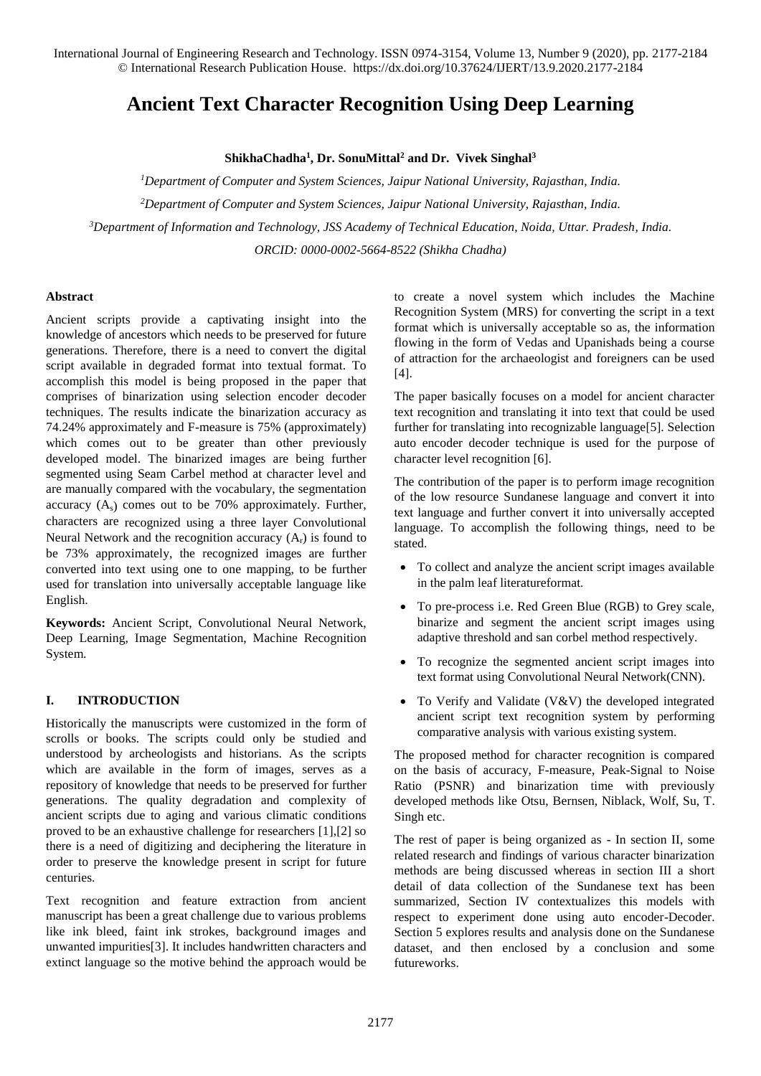# **Ancient Text Character Recognition Using Deep Learning**

## **ShikhaChadha<sup>1</sup> , Dr. SonuMittal<sup>2</sup> and Dr. Vivek Singhal<sup>3</sup>**

*<sup>1</sup>Department of Computer and System Sciences, Jaipur National University, Rajasthan, India.*

*<sup>2</sup>Department of Computer and System Sciences, Jaipur National University, Rajasthan, India.*

*<sup>3</sup>Department of Information and Technology, JSS Academy of Technical Education, Noida, Uttar. Pradesh, India.*

*ORCID: 0000-0002-5664-8522 (Shikha Chadha)*

#### **Abstract**

Ancient scripts provide a captivating insight into the knowledge of ancestors which needs to be preserved for future generations. Therefore, there is a need to convert the digital script available in degraded format into textual format. To accomplish this model is being proposed in the paper that comprises of binarization using selection encoder decoder techniques. The results indicate the binarization accuracy as 74.24% approximately and F-measure is 75% (approximately) which comes out to be greater than other previously developed model. The binarized images are being further segmented using Seam Carbel method at character level and are manually compared with the vocabulary, the segmentation accuracy  $(A_s)$  comes out to be 70% approximately. Further, characters are recognized using a three layer Convolutional Neural Network and the recognition accuracy  $(A_r)$  is found to be 73% approximately, the recognized images are further converted into text using one to one mapping, to be further used for translation into universally acceptable language like English.

**Keywords:** Ancient Script, Convolutional Neural Network, Deep Learning, Image Segmentation, Machine Recognition System.

#### **I. INTRODUCTION**

Historically the manuscripts were customized in the form of scrolls or books. The scripts could only be studied and understood by archeologists and historians. As the scripts which are available in the form of images, serves as a repository of knowledge that needs to be preserved for further generations. The quality degradation and complexity of ancient scripts due to aging and various climatic conditions proved to be an exhaustive challenge for researchers [1],[2] so there is a need of digitizing and deciphering the literature in order to preserve the knowledge present in script for future centuries.

Text recognition and feature extraction from ancient manuscript has been a great challenge due to various problems like ink bleed, faint ink strokes, background images and unwanted impurities[3]. It includes handwritten characters and extinct language so the motive behind the approach would be

to create a novel system which includes the Machine Recognition System (MRS) for converting the script in a text format which is universally acceptable so as, the information flowing in the form of Vedas and Upanishads being a course of attraction for the archaeologist and foreigners can be used [4].

The paper basically focuses on a model for ancient character text recognition and translating it into text that could be used further for translating into recognizable language[5]. Selection auto encoder decoder technique is used for the purpose of character level recognition [6].

The contribution of the paper is to perform image recognition of the low resource Sundanese language and convert it into text language and further convert it into universally accepted language. To accomplish the following things, need to be stated.

- To collect and analyze the ancient script images available in the palm leaf literatureformat.
- To pre-process i.e. Red Green Blue (RGB) to Grey scale, binarize and segment the ancient script images using adaptive threshold and san corbel method respectively.
- To recognize the segmented ancient script images into text format using Convolutional Neural Network(CNN).
- To Verify and Validate (V&V) the developed integrated ancient script text recognition system by performing comparative analysis with various existing system.

The proposed method for character recognition is compared on the basis of accuracy, F-measure, Peak-Signal to Noise Ratio (PSNR) and binarization time with previously developed methods like Otsu, Bernsen, Niblack, Wolf, Su, T. Singh etc.

The rest of paper is being organized as - In section II, some related research and findings of various character binarization methods are being discussed whereas in section III a short detail of data collection of the Sundanese text has been summarized, Section IV contextualizes this models with respect to experiment done using auto encoder-Decoder. Section 5 explores results and analysis done on the Sundanese dataset, and then enclosed by a conclusion and some futureworks.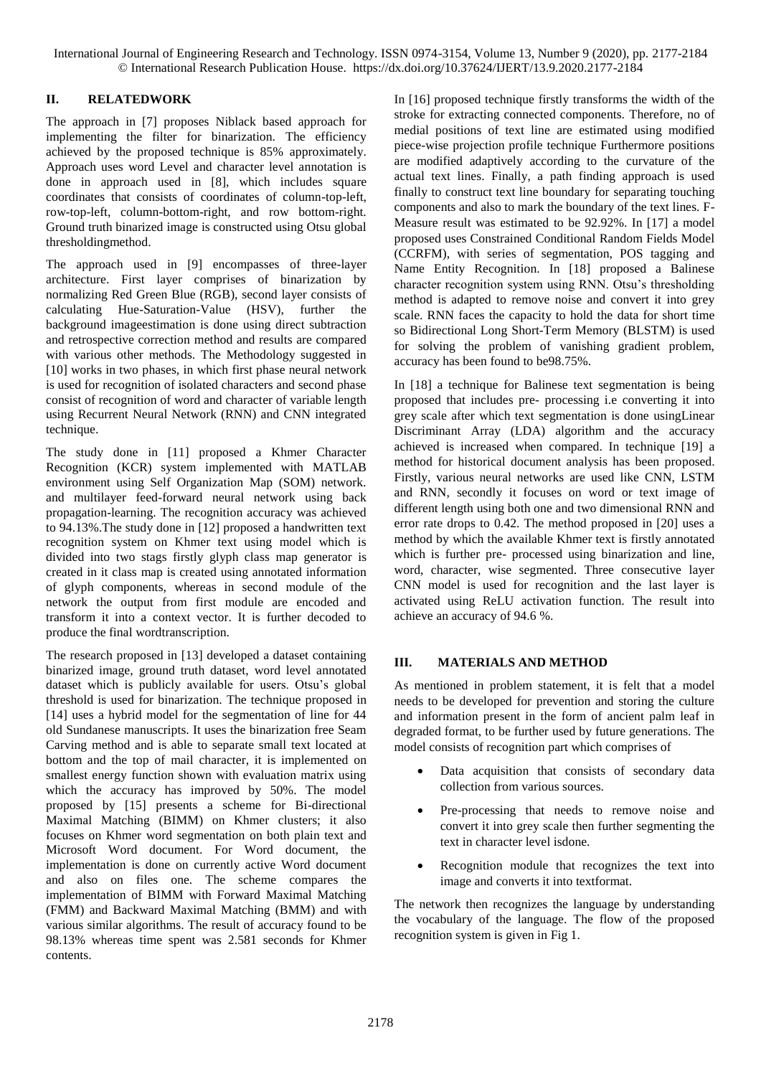# **II. RELATEDWORK**

The approach in [7] proposes Niblack based approach for implementing the filter for binarization. The efficiency achieved by the proposed technique is 85% approximately. Approach uses word Level and character level annotation is done in approach used in [8], which includes square coordinates that consists of coordinates of column-top-left, row-top-left, column-bottom-right, and row bottom-right. Ground truth binarized image is constructed using Otsu global thresholdingmethod.

The approach used in [9] encompasses of three-layer architecture. First layer comprises of binarization by normalizing Red Green Blue (RGB), second layer consists of calculating Hue-Saturation-Value (HSV), further the background imageestimation is done using direct subtraction and retrospective correction method and results are compared with various other methods. The Methodology suggested in [10] works in two phases, in which first phase neural network is used for recognition of isolated characters and second phase consist of recognition of word and character of variable length using Recurrent Neural Network (RNN) and CNN integrated technique.

The study done in [11] proposed a Khmer Character Recognition (KCR) system implemented with MATLAB environment using Self Organization Map (SOM) network. and multilayer feed-forward neural network using back propagation-learning. The recognition accuracy was achieved to 94.13%.The study done in [12] proposed a handwritten text recognition system on Khmer text using model which is divided into two stags firstly glyph class map generator is created in it class map is created using annotated information of glyph components, whereas in second module of the network the output from first module are encoded and transform it into a context vector. It is further decoded to produce the final wordtranscription.

The research proposed in [13] developed a dataset containing binarized image, ground truth dataset, word level annotated dataset which is publicly available for users. Otsu's global threshold is used for binarization. The technique proposed in [14] uses a hybrid model for the segmentation of line for 44 old Sundanese manuscripts. It uses the binarization free Seam Carving method and is able to separate small text located at bottom and the top of mail character, it is implemented on smallest energy function shown with evaluation matrix using which the accuracy has improved by 50%. The model proposed by [15] presents a scheme for Bi-directional Maximal Matching (BIMM) on Khmer clusters; it also focuses on Khmer word segmentation on both plain text and Microsoft Word document. For Word document, the implementation is done on currently active Word document and also on files one. The scheme compares the implementation of BIMM with Forward Maximal Matching (FMM) and Backward Maximal Matching (BMM) and with various similar algorithms. The result of accuracy found to be 98.13% whereas time spent was 2.581 seconds for Khmer contents.

In [16] proposed technique firstly transforms the width of the stroke for extracting connected components. Therefore, no of medial positions of text line are estimated using modified piece-wise projection profile technique Furthermore positions are modified adaptively according to the curvature of the actual text lines. Finally, a path finding approach is used finally to construct text line boundary for separating touching components and also to mark the boundary of the text lines. F-Measure result was estimated to be 92.92%. In [17] a model proposed uses Constrained Conditional Random Fields Model (CCRFM), with series of segmentation, POS tagging and Name Entity Recognition. In [18] proposed a Balinese character recognition system using RNN. Otsu's thresholding method is adapted to remove noise and convert it into grey scale. RNN faces the capacity to hold the data for short time so Bidirectional Long Short-Term Memory (BLSTM) is used for solving the problem of vanishing gradient problem, accuracy has been found to be98.75%.

In [18] a technique for Balinese text segmentation is being proposed that includes pre- processing i.e converting it into grey scale after which text segmentation is done usingLinear Discriminant Array (LDA) algorithm and the accuracy achieved is increased when compared. In technique [19] a method for historical document analysis has been proposed. Firstly, various neural networks are used like CNN, LSTM and RNN, secondly it focuses on word or text image of different length using both one and two dimensional RNN and error rate drops to 0.42. The method proposed in [20] uses a method by which the available Khmer text is firstly annotated which is further pre- processed using binarization and line, word, character, wise segmented. Three consecutive layer CNN model is used for recognition and the last layer is activated using ReLU activation function. The result into achieve an accuracy of 94.6 %.

# **III. MATERIALS AND METHOD**

As mentioned in problem statement, it is felt that a model needs to be developed for prevention and storing the culture and information present in the form of ancient palm leaf in degraded format, to be further used by future generations. The model consists of recognition part which comprises of

- Data acquisition that consists of secondary data collection from various sources.
- Pre-processing that needs to remove noise and convert it into grey scale then further segmenting the text in character level isdone.
- Recognition module that recognizes the text into image and converts it into textformat.

The network then recognizes the language by understanding the vocabulary of the language. The flow of the proposed recognition system is given in Fig 1.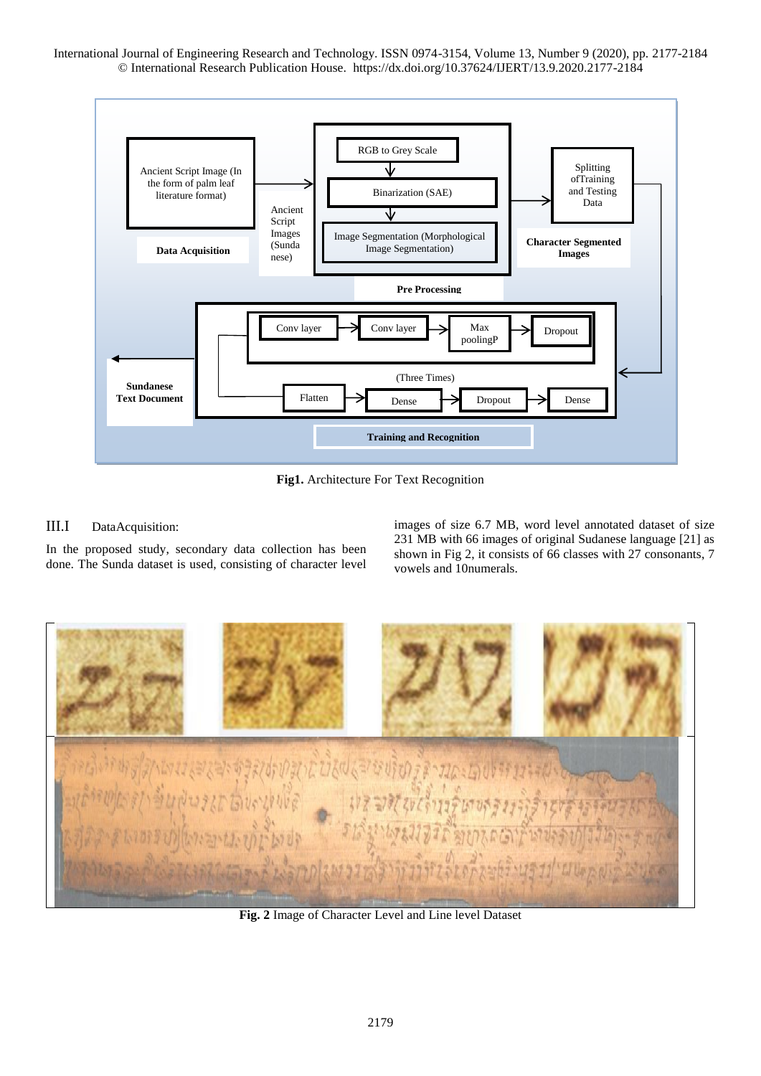

**Fig1.** Architecture For Text Recognition

# III.I DataAcquisition:

In the proposed study, secondary data collection has been done. The Sunda dataset is used, consisting of character level images of size 6.7 MB, word level annotated dataset of size 231 MB with 66 images of original Sudanese language [21] as shown in Fig 2, it consists of 66 classes with 27 consonants, 7 vowels and 10numerals.



**Fig. 2** Image of Character Level and Line level Dataset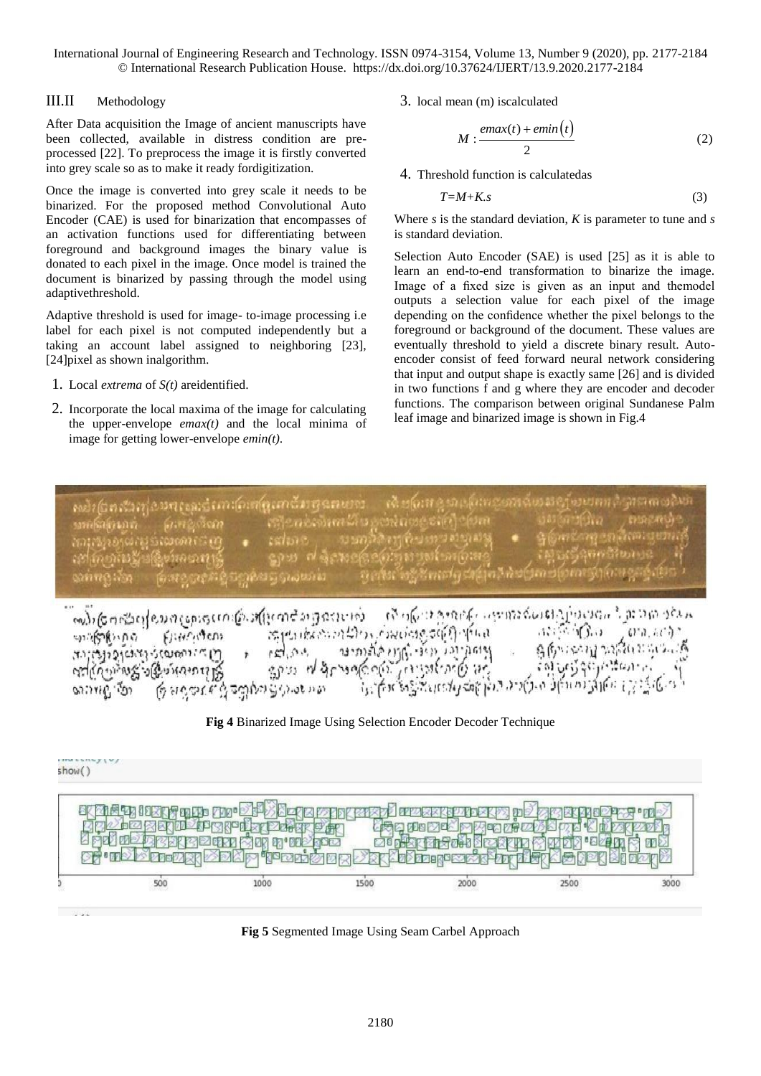## III.II Methodology

After Data acquisition the Image of ancient manuscripts have been collected, available in distress condition are preprocessed [22]. To preprocess the image it is firstly converted into grey scale so as to make it ready fordigitization.

Once the image is converted into grey scale it needs to be binarized. For the proposed method Convolutional Auto Encoder (CAE) is used for binarization that encompasses of an activation functions used for differentiating between foreground and background images the binary value is donated to each pixel in the image. Once model is trained the document is binarized by passing through the model using adaptivethreshold.

Adaptive threshold is used for image- to-image processing i.e label for each pixel is not computed independently but a taking an account label assigned to neighboring [23], [24]pixel as shown inalgorithm.

- 1. Local *extrema* of *S(t)* areidentified.
- 2. Incorporate the local maxima of the image for calculating the upper-envelope *emax(t)* and the local minima of image for getting lower-envelope *emin(t)*.

3. local mean (m) iscalculated

$$
M: \frac{emax(t) + emin(t)}{2}
$$
 (2)

4. Threshold function is calculatedas

$$
T=M+K.s \tag{3}
$$

Where *s* is the standard deviation, *K* is parameter to tune and *s* is standard deviation.

Selection Auto Encoder (SAE) is used [25] as it is able to learn an end-to-end transformation to binarize the image. Image of a fixed size is given as an input and themodel outputs a selection value for each pixel of the image depending on the confidence whether the pixel belongs to the foreground or background of the document. These values are eventually threshold to yield a discrete binary result. Autoencoder consist of feed forward neural network considering that input and output shape is exactly same [26] and is divided in two functions f and g where they are encoder and decoder functions. The comparison between original Sundanese Palm leaf image and binarized image is shown in Fig.4

ប់ពន្ធ័រនៅសង់មាត់ឈប់ណា(លកាតូណាជីវាថ្មជនសម្រា refericamatic senato sina mescano ලි හඳුනැගිලි ලෙබ්වා වූ ඉංග ගො





**Fig 5** Segmented Image Using Seam Carbel Approach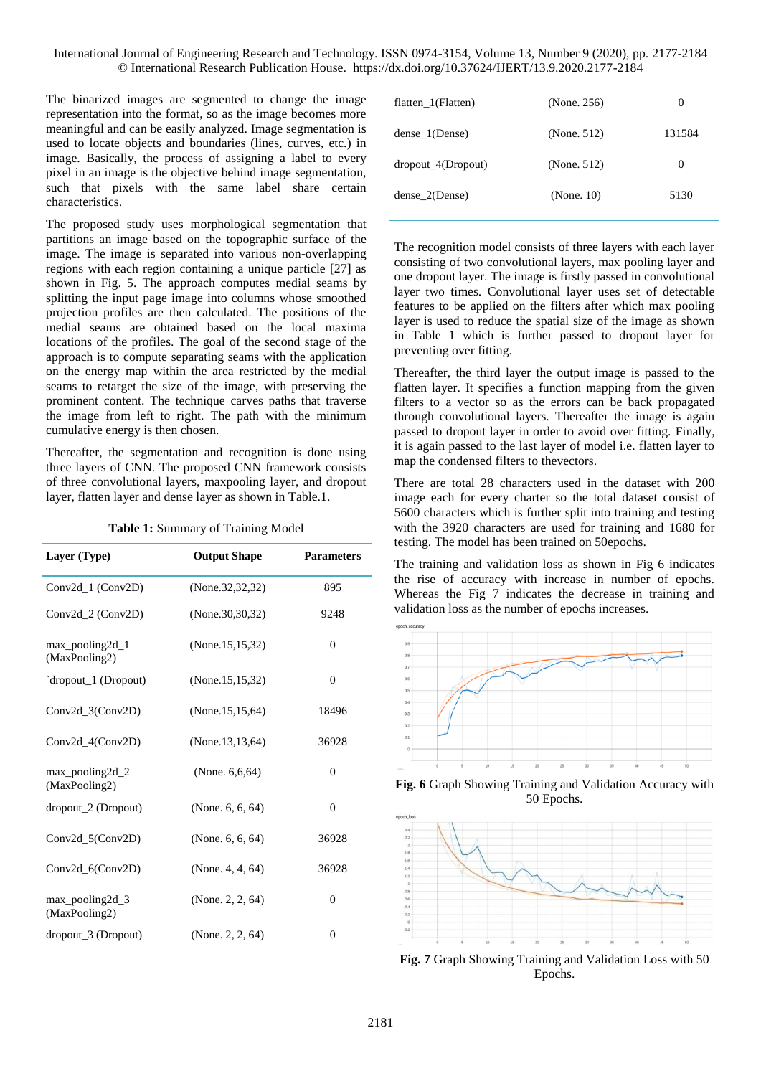The binarized images are segmented to change the image representation into the format, so as the image becomes more meaningful and can be easily analyzed. Image segmentation is used to locate objects and boundaries (lines, curves, etc.) in image. Basically, the process of assigning a label to every pixel in an image is the objective behind image segmentation, such that pixels with the same label share certain characteristics.

The proposed study uses morphological segmentation that partitions an image based on the topographic surface of the image. The image is separated into various non-overlapping regions with each region containing a unique particle [27] as shown in Fig. 5. The approach computes medial seams by splitting the input page image into columns whose smoothed projection profiles are then calculated. The positions of the medial seams are obtained based on the local maxima locations of the profiles. The goal of the second stage of the approach is to compute separating seams with the application on the energy map within the area restricted by the medial seams to retarget the size of the image, with preserving the prominent content. The technique carves paths that traverse the image from left to right. The path with the minimum cumulative energy is then chosen.

Thereafter, the segmentation and recognition is done using three layers of CNN. The proposed CNN framework consists of three convolutional layers, maxpooling layer, and dropout layer, flatten layer and dense layer as shown in Table.1.

|  | <b>Table 1:</b> Summary of Training Model |
|--|-------------------------------------------|
|--|-------------------------------------------|

| Layer (Type)                          | <b>Output Shape</b> | <b>Parameters</b> |
|---------------------------------------|---------------------|-------------------|
| Conv2d_1 (Conv2D)                     | (None.32,32,32)     | 895               |
| Conv2d_2 (Conv2D)                     | (None.30, 30, 32)   | 9248              |
| $max$ pooling $2d_1$<br>(MaxPooling2) | (None.15,15,32)     | $\theta$          |
| dropout_1 (Dropout)                   | (None.15,15,32)     | $\theta$          |
| $Conv2d_3(Conv2D)$                    | (None.15,15,64)     | 18496             |
| Conv2d_4(Conv2D)                      | (None.13,13,64)     | 36928             |
| max_pooling2d_2<br>(MaxPooling2)      | (None. $6,6,64$ )   | $\Omega$          |
| $dropout_2(Dropout)$                  | (None. $6, 6, 64$ ) | $\theta$          |
| $Conv2d_5(Conv2D)$                    | (None. $6, 6, 64$ ) | 36928             |
| Conv2d_6(Conv2D)                      | (None. $4, 4, 64$ ) | 36928             |
| $max$ pooling 2d 3<br>(MaxPooling2)   | (None. 2, 2, $64$ ) | $\Omega$          |
| $dropout_3(Dropout)$                  | (None. 2, 2, 64)    | $\Omega$          |

| flatten $1$ (Flatten) | (None. 256) | O        |
|-----------------------|-------------|----------|
| dense 1(Dense)        | (None. 512) | 131584   |
| dropout 4(Dropout)    | (None. 512) | $\theta$ |
| dense 2(Dense)        | (None. 10)  | 5130     |

The recognition model consists of three layers with each layer consisting of two convolutional layers, max pooling layer and one dropout layer. The image is firstly passed in convolutional layer two times. Convolutional layer uses set of detectable features to be applied on the filters after which max pooling layer is used to reduce the spatial size of the image as shown in Table 1 which is further passed to dropout layer for preventing over fitting.

Thereafter, the third layer the output image is passed to the flatten layer. It specifies a function mapping from the given filters to a vector so as the errors can be back propagated through convolutional layers. Thereafter the image is again passed to dropout layer in order to avoid over fitting. Finally, it is again passed to the last layer of model i.e. flatten layer to map the condensed filters to thevectors.

There are total 28 characters used in the dataset with 200 image each for every charter so the total dataset consist of 5600 characters which is further split into training and testing with the 3920 characters are used for training and 1680 for testing. The model has been trained on 50epochs.

The training and validation loss as shown in Fig 6 indicates the rise of accuracy with increase in number of epochs. Whereas the Fig 7 indicates the decrease in training and validation loss as the number of epochs increases.







**Fig. 7** Graph Showing Training and Validation Loss with 50 Epochs.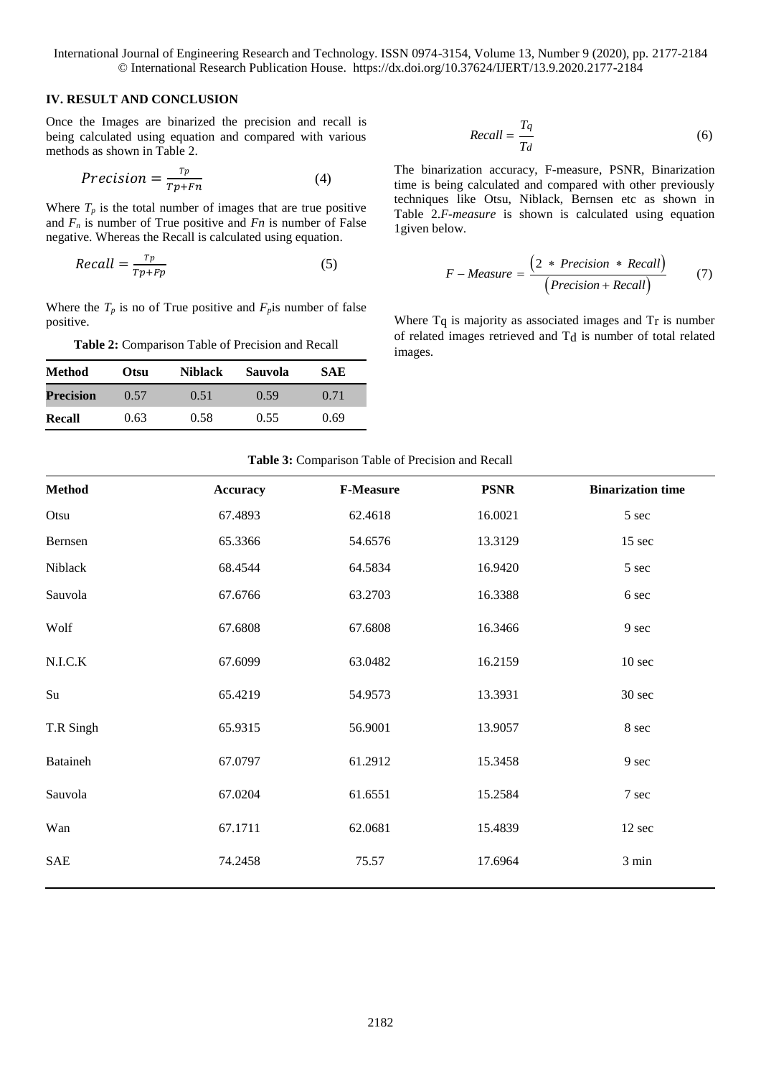#### **IV. RESULT AND CONCLUSION**

Once the Images are binarized the precision and recall is being calculated using equation and compared with various methods as shown in Table 2.

$$
Precision = \frac{r_p}{r_{p+Fn}} \tag{4}
$$

Where  $T_p$  is the total number of images that are true positive and  $F_n$  is number of True positive and  $Fn$  is number of False negative. Whereas the Recall is calculated using equation.

$$
Recall = \frac{r_p}{r_p + r_p} \tag{5}
$$

Where the  $T_p$  is no of True positive and  $F_p$  is number of false positive.

**Table 2:** Comparison Table of Precision and Recall

| <b>Method</b>    | Otsu | <b>Niblack</b> | <b>Sauvola</b> | SAE  |
|------------------|------|----------------|----------------|------|
| <b>Precision</b> | 0.57 | 0.51           | 0.59           | 0.71 |
| Recall           | 0.63 | 0.58           | 0.55           | 0.69 |

$$
Recall = \frac{T_q}{T_d} \tag{6}
$$

The binarization accuracy, F-measure, PSNR, Binarization time is being calculated and compared with other previously techniques like Otsu, Niblack, Bernsen etc as shown in Table 2.*F-measure* is shown is calculated using equation 1given below.

$$
F-Measure = \frac{\left(2 * Precision * Recall\right)}{\left(Precision + Recall\right)}\tag{7}
$$

Where  $T_q$  is majority as associated images and  $T_r$  is number of related images retrieved and Td is number of total related images.

|  | <b>Table 3:</b> Comparison Table of Precision and Recall |  |  |  |
|--|----------------------------------------------------------|--|--|--|
|--|----------------------------------------------------------|--|--|--|

| <b>Method</b> | <b>Accuracy</b> | <b>F-Measure</b> | <b>PSNR</b> | <b>Binarization time</b> |
|---------------|-----------------|------------------|-------------|--------------------------|
| Otsu          | 67.4893         | 62.4618          | 16.0021     | 5 sec                    |
| Bernsen       | 65.3366         | 54.6576          | 13.3129     | 15 sec                   |
| Niblack       | 68.4544         | 64.5834          | 16.9420     | 5 sec                    |
| Sauvola       | 67.6766         | 63.2703          | 16.3388     | 6 sec                    |
| Wolf          | 67.6808         | 67.6808          | 16.3466     | 9 sec                    |
| N.L.C.K       | 67.6099         | 63.0482          | 16.2159     | 10 <sub>sec</sub>        |
| Su            | 65.4219         | 54.9573          | 13.3931     | 30 sec                   |
| T.R Singh     | 65.9315         | 56.9001          | 13.9057     | 8 sec                    |
| Bataineh      | 67.0797         | 61.2912          | 15.3458     | 9 sec                    |
| Sauvola       | 67.0204         | 61.6551          | 15.2584     | 7 sec                    |
| Wan           | 67.1711         | 62.0681          | 15.4839     | 12 sec                   |
| <b>SAE</b>    | 74.2458         | 75.57            | 17.6964     | 3 min                    |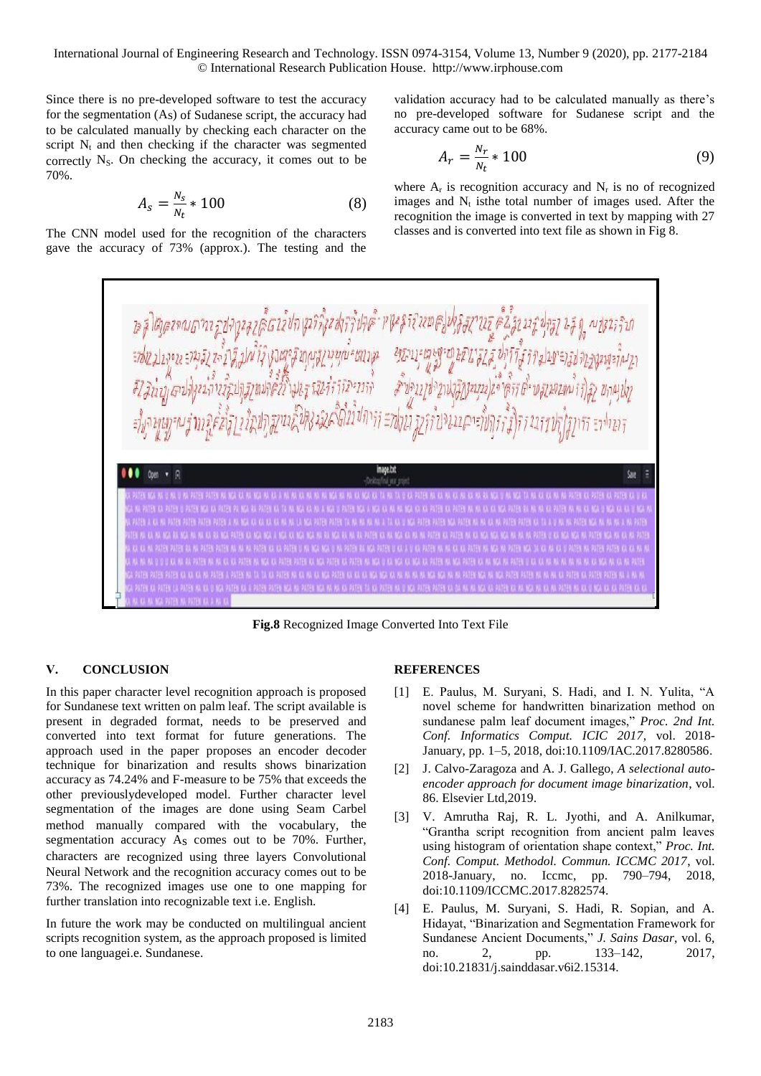International Journal of Engineering Research and Technology. ISSN 0974-3154, Volume 13, Number 9 (2020), pp. 2177-2184 © International Research Publication House. http://www.irphouse.com

Since there is no pre-developed software to test the accuracy for the segmentation (As) of Sudanese script, the accuracy had to be calculated manually by checking each character on the script  $N_t$  and then checking if the character was segmented correctly  $N_s$ . On checking the accuracy, it comes out to be 70%.

$$
A_s = \frac{N_s}{N_t} \times 100\tag{8}
$$

The CNN model used for the recognition of the characters gave the accuracy of 73% (approx.). The testing and the validation accuracy had to be calculated manually as there's no pre-developed software for Sudanese script and the accuracy came out to be 68%.

$$
A_r = \frac{N_r}{N_t} * 100\tag{9}
$$

where  $A_r$  is recognition accuracy and  $N_r$  is no of recognized images and  $N_t$  is the total number of images used. After the recognition the image is converted in text by mapping with 27 classes and is converted into text file as shown in Fig 8.



**Fig.8** Recognized Image Converted Into Text File

# **V. CONCLUSION**

In this paper character level recognition approach is proposed for Sundanese text written on palm leaf. The script available is present in degraded format, needs to be preserved and converted into text format for future generations. The approach used in the paper proposes an encoder decoder technique for binarization and results shows binarization accuracy as 74.24% and F-measure to be 75% that exceeds the other previouslydeveloped model. Further character level segmentation of the images are done using Seam Carbel method manually compared with the vocabulary, the segmentation accuracy As comes out to be 70%. Further, characters are recognized using three layers Convolutional Neural Network and the recognition accuracy comes out to be 73%. The recognized images use one to one mapping for further translation into recognizable text i.e. English.

In future the work may be conducted on multilingual ancient scripts recognition system, as the approach proposed is limited to one languagei.e. Sundanese.

#### **REFERENCES**

- [1] E. Paulus, M. Suryani, S. Hadi, and I. N. Yulita, "A novel scheme for handwritten binarization method on sundanese palm leaf document images," *Proc. 2nd Int. Conf. Informatics Comput. ICIC 2017*, vol. 2018- January, pp. 1–5, 2018, doi:10.1109/IAC.2017.8280586.
- [2] J. Calvo-Zaragoza and A. J. Gallego, *A selectional autoencoder approach for document image binarization*, vol. 86. Elsevier Ltd,2019.
- [3] V. Amrutha Raj, R. L. Jyothi, and A. Anilkumar, "Grantha script recognition from ancient palm leaves using histogram of orientation shape context," *Proc. Int. Conf. Comput. Methodol. Commun. ICCMC 2017*, vol. 2018-January, no. Iccmc, pp. 790–794, 2018, doi:10.1109/ICCMC.2017.8282574.
- [4] E. Paulus, M. Suryani, S. Hadi, R. Sopian, and A. Hidayat, "Binarization and Segmentation Framework for Sundanese Ancient Documents," *J. Sains Dasar*, vol. 6, no. 2, pp. 133–142, 2017, doi:10.21831/j.sainddasar.v6i2.15314.